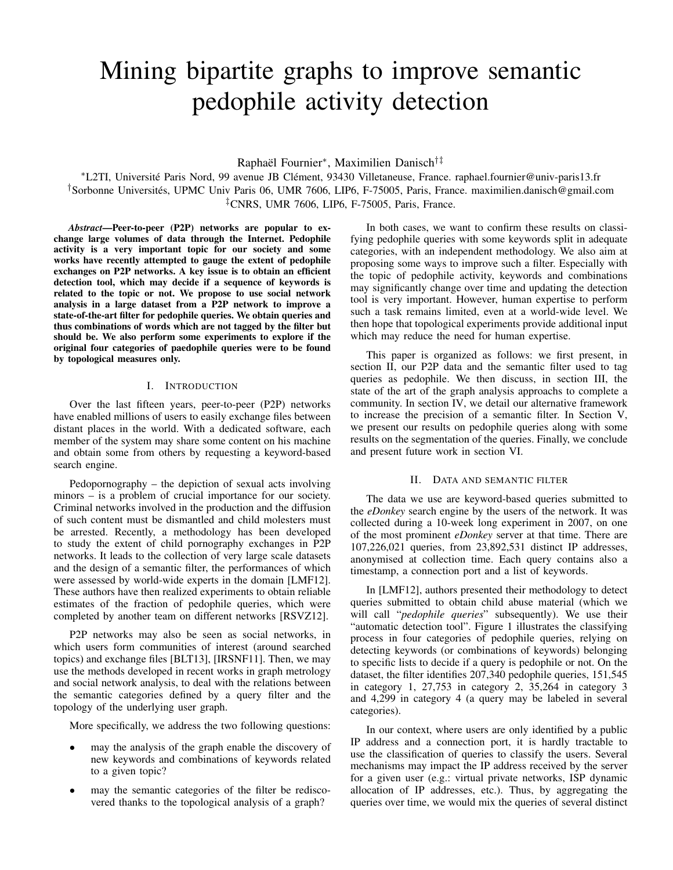# Mining bipartite graphs to improve semantic pedophile activity detection

Raphaël Fournier<sup>∗</sup> , Maximilien Danisch†‡

<sup>∗</sup>L2TI, Université Paris Nord, 99 avenue JB Clément, 93430 Villetaneuse, France. raphael.fournier@univ-paris13.fr †Sorbonne Universités, UPMC Univ Paris 06, UMR 7606, LIP6, F-75005, Paris, France. maximilien.danisch@gmail.com ‡CNRS, UMR 7606, LIP6, F-75005, Paris, France.

*Abstract*—Peer-to-peer (P2P) networks are popular to exchange large volumes of data through the Internet. Pedophile activity is a very important topic for our society and some works have recently attempted to gauge the extent of pedophile exchanges on P2P networks. A key issue is to obtain an efficient detection tool, which may decide if a sequence of keywords is related to the topic or not. We propose to use social network analysis in a large dataset from a P2P network to improve a state-of-the-art filter for pedophile queries. We obtain queries and thus combinations of words which are not tagged by the filter but should be. We also perform some experiments to explore if the original four categories of paedophile queries were to be found by topological measures only.

# I. INTRODUCTION

Over the last fifteen years, peer-to-peer (P2P) networks have enabled millions of users to easily exchange files between distant places in the world. With a dedicated software, each member of the system may share some content on his machine and obtain some from others by requesting a keyword-based search engine.

Pedopornography – the depiction of sexual acts involving minors – is a problem of crucial importance for our society. Criminal networks involved in the production and the diffusion of such content must be dismantled and child molesters must be arrested. Recently, a methodology has been developed to study the extent of child pornography exchanges in P2P networks. It leads to the collection of very large scale datasets and the design of a semantic filter, the performances of which were assessed by world-wide experts in the domain [LMF12]. These authors have then realized experiments to obtain reliable estimates of the fraction of pedophile queries, which were completed by another team on different networks [RSVZ12].

P2P networks may also be seen as social networks, in which users form communities of interest (around searched topics) and exchange files [BLT13], [IRSNF11]. Then, we may use the methods developed in recent works in graph metrology and social network analysis, to deal with the relations between the semantic categories defined by a query filter and the topology of the underlying user graph.

More specifically, we address the two following questions:

- may the analysis of the graph enable the discovery of new keywords and combinations of keywords related to a given topic?
- may the semantic categories of the filter be rediscovered thanks to the topological analysis of a graph?

In both cases, we want to confirm these results on classifying pedophile queries with some keywords split in adequate categories, with an independent methodology. We also aim at proposing some ways to improve such a filter. Especially with the topic of pedophile activity, keywords and combinations may significantly change over time and updating the detection tool is very important. However, human expertise to perform such a task remains limited, even at a world-wide level. We then hope that topological experiments provide additional input which may reduce the need for human expertise.

This paper is organized as follows: we first present, in section II, our P2P data and the semantic filter used to tag queries as pedophile. We then discuss, in section III, the state of the art of the graph analysis approachs to complete a community. In section IV, we detail our alternative framework to increase the precision of a semantic filter. In Section V, we present our results on pedophile queries along with some results on the segmentation of the queries. Finally, we conclude and present future work in section VI.

# II. DATA AND SEMANTIC FILTER

The data we use are keyword-based queries submitted to the *eDonkey* search engine by the users of the network. It was collected during a 10-week long experiment in 2007, on one of the most prominent *eDonkey* server at that time. There are 107,226,021 queries, from 23,892,531 distinct IP addresses, anonymised at collection time. Each query contains also a timestamp, a connection port and a list of keywords.

In [LMF12], authors presented their methodology to detect queries submitted to obtain child abuse material (which we will call "*pedophile queries*" subsequently). We use their "automatic detection tool". Figure 1 illustrates the classifying process in four categories of pedophile queries, relying on detecting keywords (or combinations of keywords) belonging to specific lists to decide if a query is pedophile or not. On the dataset, the filter identifies 207,340 pedophile queries, 151,545 in category 1, 27,753 in category 2, 35,264 in category 3 and 4,299 in category 4 (a query may be labeled in several categories).

In our context, where users are only identified by a public IP address and a connection port, it is hardly tractable to use the classification of queries to classify the users. Several mechanisms may impact the IP address received by the server for a given user (e.g.: virtual private networks, ISP dynamic allocation of IP addresses, etc.). Thus, by aggregating the queries over time, we would mix the queries of several distinct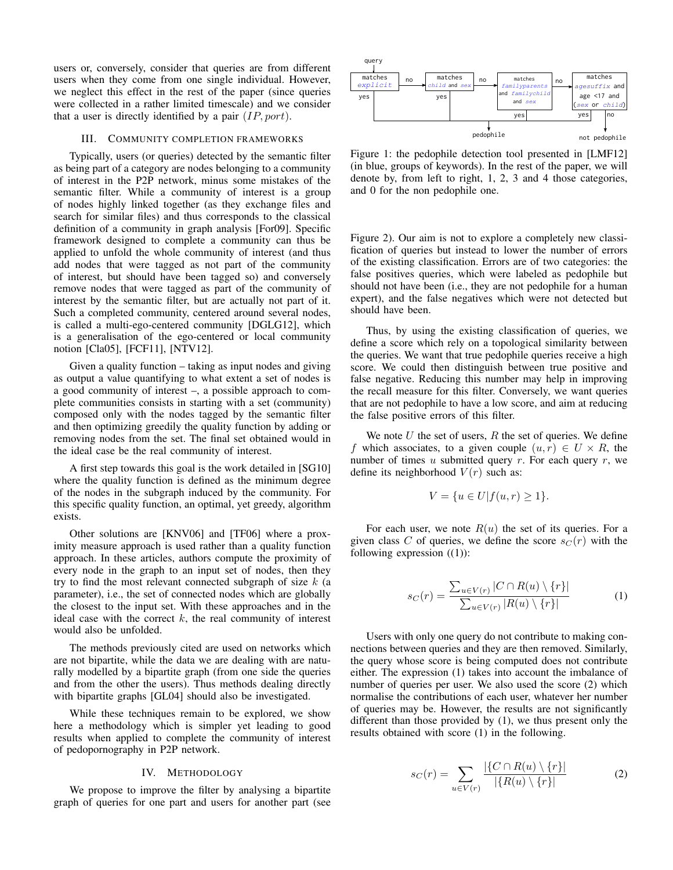users or, conversely, consider that queries are from different users when they come from one single individual. However, we neglect this effect in the rest of the paper (since queries were collected in a rather limited timescale) and we consider that a user is directly identified by a pair  $(IP, port)$ .

## III. COMMUNITY COMPLETION FRAMEWORKS

Typically, users (or queries) detected by the semantic filter as being part of a category are nodes belonging to a community of interest in the P2P network, minus some mistakes of the semantic filter. While a community of interest is a group of nodes highly linked together (as they exchange files and search for similar files) and thus corresponds to the classical definition of a community in graph analysis [For09]. Specific framework designed to complete a community can thus be applied to unfold the whole community of interest (and thus add nodes that were tagged as not part of the community of interest, but should have been tagged so) and conversely remove nodes that were tagged as part of the community of interest by the semantic filter, but are actually not part of it. Such a completed community, centered around several nodes, is called a multi-ego-centered community [DGLG12], which is a generalisation of the ego-centered or local community notion [Cla05], [FCF11], [NTV12].

Given a quality function – taking as input nodes and giving as output a value quantifying to what extent a set of nodes is a good community of interest –, a possible approach to complete communities consists in starting with a set (community) composed only with the nodes tagged by the semantic filter and then optimizing greedily the quality function by adding or removing nodes from the set. The final set obtained would in the ideal case be the real community of interest.

A first step towards this goal is the work detailed in [SG10] where the quality function is defined as the minimum degree of the nodes in the subgraph induced by the community. For this specific quality function, an optimal, yet greedy, algorithm exists.

Other solutions are [KNV06] and [TF06] where a proximity measure approach is used rather than a quality function approach. In these articles, authors compute the proximity of every node in the graph to an input set of nodes, then they try to find the most relevant connected subgraph of size  $k$  (a parameter), i.e., the set of connected nodes which are globally the closest to the input set. With these approaches and in the ideal case with the correct  $k$ , the real community of interest would also be unfolded.

The methods previously cited are used on networks which are not bipartite, while the data we are dealing with are naturally modelled by a bipartite graph (from one side the queries and from the other the users). Thus methods dealing directly with bipartite graphs [GL04] should also be investigated.

While these techniques remain to be explored, we show here a methodology which is simpler yet leading to good results when applied to complete the community of interest of pedopornography in P2P network.

## IV. METHODOLOGY

We propose to improve the filter by analysing a bipartite graph of queries for one part and users for another part (see



Figure 1: the pedophile detection tool presented in [LMF12] (in blue, groups of keywords). In the rest of the paper, we will denote by, from left to right, 1, 2, 3 and 4 those categories, and 0 for the non pedophile one.

Figure 2). Our aim is not to explore a completely new classification of queries but instead to lower the number of errors of the existing classification. Errors are of two categories: the false positives queries, which were labeled as pedophile but should not have been (i.e., they are not pedophile for a human expert), and the false negatives which were not detected but should have been.

Thus, by using the existing classification of queries, we define a score which rely on a topological similarity between the queries. We want that true pedophile queries receive a high score. We could then distinguish between true positive and false negative. Reducing this number may help in improving the recall measure for this filter. Conversely, we want queries that are not pedophile to have a low score, and aim at reducing the false positive errors of this filter.

We note  $U$  the set of users,  $R$  the set of queries. We define f which associates, to a given couple  $(u, r) \in U \times R$ , the number of times  $u$  submitted query  $r$ . For each query  $r$ , we define its neighborhood  $V(r)$  such as:

$$
V = \{u \in U | f(u,r) \ge 1\}.
$$

For each user, we note  $R(u)$  the set of its queries. For a given class C of queries, we define the score  $s_C(r)$  with the following expression ((1)):

$$
s_C(r) = \frac{\sum_{u \in V(r)} |C \cap R(u) \setminus \{r\}|}{\sum_{u \in V(r)} |R(u) \setminus \{r\}|} \tag{1}
$$

Users with only one query do not contribute to making connections between queries and they are then removed. Similarly, the query whose score is being computed does not contribute either. The expression (1) takes into account the imbalance of number of queries per user. We also used the score (2) which normalise the contributions of each user, whatever her number of queries may be. However, the results are not significantly different than those provided by (1), we thus present only the results obtained with score (1) in the following.

$$
s_C(r) = \sum_{u \in V(r)} \frac{|\{C \cap R(u) \setminus \{r\}|}{|\{R(u) \setminus \{r\}|}} \tag{2}
$$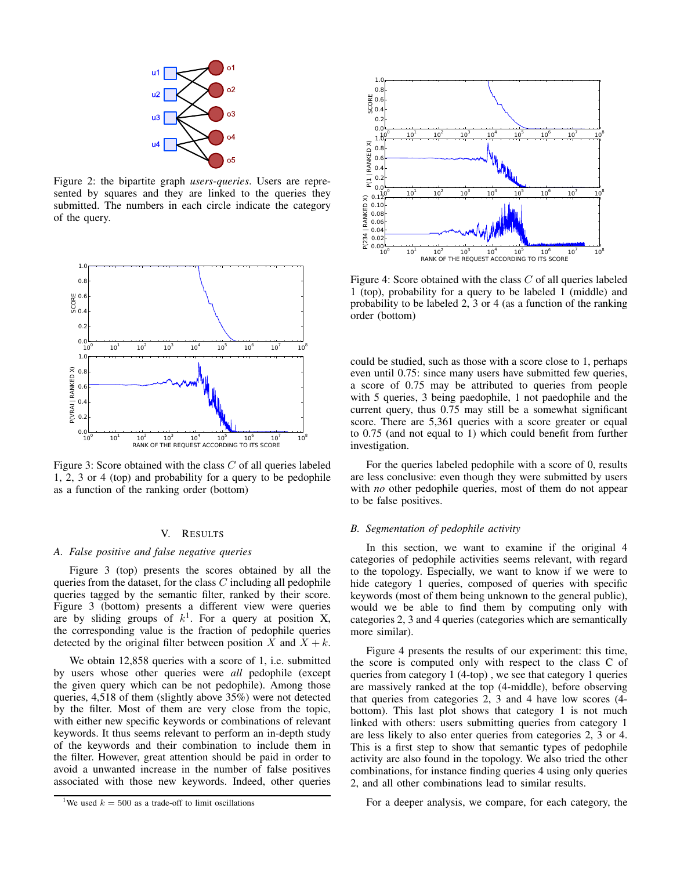

Figure 2: the bipartite graph *users*-*queries*. Users are represented by squares and they are linked to the queries they submitted. The numbers in each circle indicate the category of the query.



Figure 3: Score obtained with the class  $C$  of all queries labeled 1, 2, 3 or 4 (top) and probability for a query to be pedophile as a function of the ranking order (bottom)

#### V. RESULTS

## *A. False positive and false negative queries*

Figure 3 (top) presents the scores obtained by all the queries from the dataset, for the class  $C$  including all pedophile queries tagged by the semantic filter, ranked by their score. Figure 3 (bottom) presents a different view were queries are by sliding groups of  $k<sup>1</sup>$ . For a query at position X, the corresponding value is the fraction of pedophile queries detected by the original filter between position X and  $X + k$ .

We obtain 12,858 queries with a score of 1, i.e. submitted by users whose other queries were *all* pedophile (except the given query which can be not pedophile). Among those queries, 4,518 of them (slightly above 35%) were not detected by the filter. Most of them are very close from the topic, with either new specific keywords or combinations of relevant keywords. It thus seems relevant to perform an in-depth study of the keywords and their combination to include them in the filter. However, great attention should be paid in order to avoid a unwanted increase in the number of false positives associated with those new keywords. Indeed, other queries





Figure 4: Score obtained with the class C of all queries labeled 1 (top), probability for a query to be labeled 1 (middle) and probability to be labeled 2, 3 or 4 (as a function of the ranking order (bottom)

could be studied, such as those with a score close to 1, perhaps even until 0.75: since many users have submitted few queries, a score of 0.75 may be attributed to queries from people with 5 queries, 3 being paedophile, 1 not paedophile and the current query, thus 0.75 may still be a somewhat significant score. There are 5,361 queries with a score greater or equal to 0.75 (and not equal to 1) which could benefit from further investigation.

For the queries labeled pedophile with a score of 0, results are less conclusive: even though they were submitted by users with *no* other pedophile queries, most of them do not appear to be false positives.

# *B. Segmentation of pedophile activity*

In this section, we want to examine if the original 4 categories of pedophile activities seems relevant, with regard to the topology. Especially, we want to know if we were to hide category 1 queries, composed of queries with specific keywords (most of them being unknown to the general public), would we be able to find them by computing only with categories 2, 3 and 4 queries (categories which are semantically more similar).

Figure 4 presents the results of our experiment: this time, the score is computed only with respect to the class C of queries from category 1 (4-top) , we see that category 1 queries are massively ranked at the top (4-middle), before observing that queries from categories 2, 3 and 4 have low scores (4 bottom). This last plot shows that category 1 is not much linked with others: users submitting queries from category 1 are less likely to also enter queries from categories 2, 3 or 4. This is a first step to show that semantic types of pedophile activity are also found in the topology. We also tried the other combinations, for instance finding queries 4 using only queries 2, and all other combinations lead to similar results.

For a deeper analysis, we compare, for each category, the